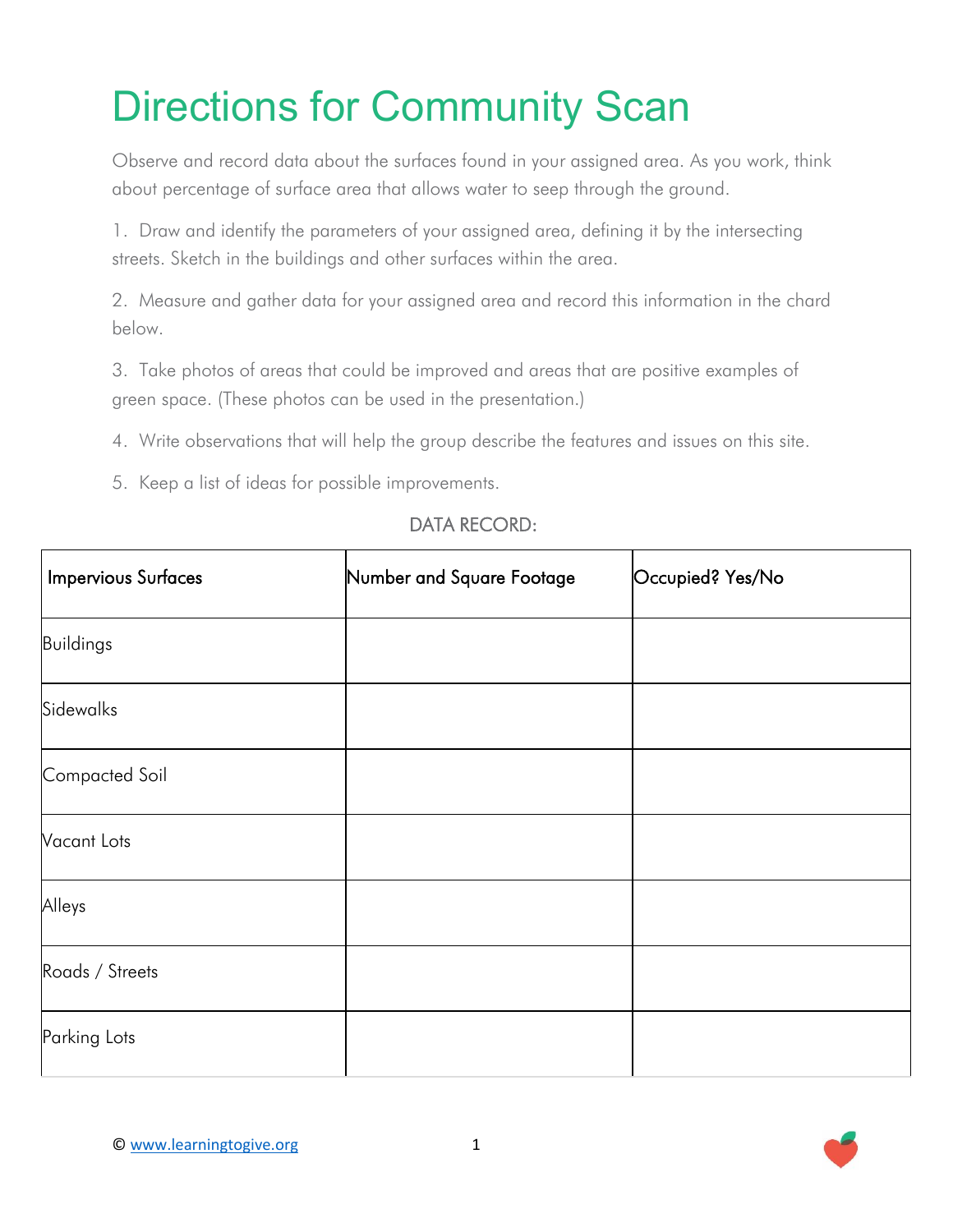## Directions for Community Scan

Observe and record data about the surfaces found in your assigned area. As you work, think about percentage of surface area that allows water to seep through the ground.

1. Draw and identify the parameters of your assigned area, defining it by the intersecting streets. Sketch in the buildings and other surfaces within the area.

2. Measure and gather data for your assigned area and record this information in the chard below.

3. Take photos of areas that could be improved and areas that are positive examples of green space. (These photos can be used in the presentation.)

- 4. Write observations that will help the group describe the features and issues on this site.
- 5. Keep a list of ideas for possible improvements.

| <b>Impervious Surfaces</b> | Number and Square Footage | Occupied? Yes/No |
|----------------------------|---------------------------|------------------|
| Buildings                  |                           |                  |
| Sidewalks                  |                           |                  |
| Compacted Soil             |                           |                  |
| Vacant Lots                |                           |                  |
| Alleys                     |                           |                  |
| Roads / Streets            |                           |                  |
| Parking Lots               |                           |                  |